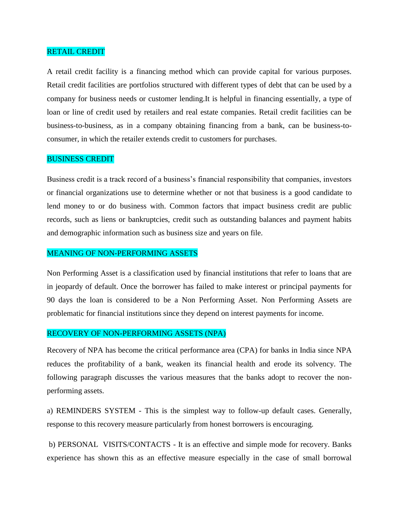### RETAIL CREDIT

A retail credit facility is a financing method which can provide capital for various purposes. Retail credit facilities are portfolios structured with different types of debt that can be used by a company for business needs or customer lending.It is helpful in financing essentially, a type of loan or line of credit used by retailers and real estate companies. Retail credit facilities can be business-to-business, as in a company obtaining financing from a bank, can be business-toconsumer, in which the retailer extends credit to customers for purchases.

# BUSINESS CREDIT

Business credit is a track record of a business's financial responsibility that companies, investors or financial organizations use to determine whether or not that business is a good candidate to lend money to or do business with. Common factors that impact business credit are public records, such as liens or bankruptcies, credit such as outstanding balances and payment habits and demographic information such as business size and years on file.

## MEANING OF NON-PERFORMING ASSETS

Non Performing Asset is a classification used by financial institutions that refer to loans that are in jeopardy of default. Once the borrower has failed to make interest or principal payments for 90 days the loan is considered to be a Non Performing Asset. Non Performing Assets are problematic for financial institutions since they depend on interest payments for income.

### RECOVERY OF NON-PERFORMING ASSETS (NPA)

Recovery of NPA has become the critical performance area (CPA) for banks in India since NPA reduces the profitability of a bank, weaken its financial health and erode its solvency. The following paragraph discusses the various measures that the banks adopt to recover the nonperforming assets.

a) REMINDERS SYSTEM - This is the simplest way to follow-up default cases. Generally, response to this recovery measure particularly from honest borrowers is encouraging.

b) PERSONAL VISITS/CONTACTS - It is an effective and simple mode for recovery. Banks experience has shown this as an effective measure especially in the case of small borrowal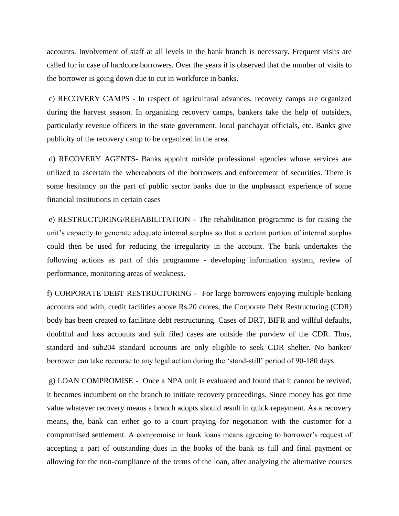accounts. Involvement of staff at all levels in the bank branch is necessary. Frequent visits are called for in case of hardcore borrowers. Over the years it is observed that the number of visits to the borrower is going down due to cut in workforce in banks.

c) RECOVERY CAMPS - In respect of agricultural advances, recovery camps are organized during the harvest season. In organizing recovery camps, bankers take the help of outsiders, particularly revenue officers in the state government, local panchayat officials, etc. Banks give publicity of the recovery camp to be organized in the area.

d) RECOVERY AGENTS- Banks appoint outside professional agencies whose services are utilized to ascertain the whereabouts of the borrowers and enforcement of securities. There is some hesitancy on the part of public sector banks due to the unpleasant experience of some financial institutions in certain cases

e) RESTRUCTURING/REHABILITATION - The rehabilitation programme is for raising the unit's capacity to generate adequate internal surplus so that a certain portion of internal surplus could then be used for reducing the irregularity in the account. The bank undertakes the following actions as part of this programme - developing information system, review of performance, monitoring areas of weakness.

f) CORPORATE DEBT RESTRUCTURING - For large borrowers enjoying multiple banking accounts and with, credit facilities above Rs.20 crores, the Corporate Debt Restructuring (CDR) body has been created to facilitate debt restructuring. Cases of DRT, BIFR and willful defaults, doubtful and loss accounts and suit filed cases are outside the purview of the CDR. Thus, standard and sub204 standard accounts are only eligible to seek CDR shelter. No banker/ borrower can take recourse to any legal action during the 'stand-still' period of 90-180 days.

g) LOAN COMPROMISE - Once a NPA unit is evaluated and found that it cannot be revived, it becomes incumbent on the branch to initiate recovery proceedings. Since money has got time value whatever recovery means a branch adopts should result in quick repayment. As a recovery means, the, bank can either go to a court praying for negotiation with the customer for a compromised settlement. A compromise in bank loans means agreeing to borrower's request of accepting a part of outstanding dues in the books of the bank as full and final payment or allowing for the non-compliance of the terms of the loan, after analyzing the alternative courses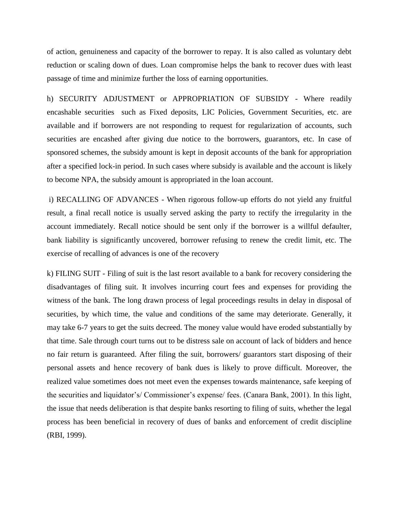of action, genuineness and capacity of the borrower to repay. It is also called as voluntary debt reduction or scaling down of dues. Loan compromise helps the bank to recover dues with least passage of time and minimize further the loss of earning opportunities.

h) SECURITY ADJUSTMENT or APPROPRIATION OF SUBSIDY - Where readily encashable securities such as Fixed deposits, LIC Policies, Government Securities, etc. are available and if borrowers are not responding to request for regularization of accounts, such securities are encashed after giving due notice to the borrowers, guarantors, etc. In case of sponsored schemes, the subsidy amount is kept in deposit accounts of the bank for appropriation after a specified lock-in period. In such cases where subsidy is available and the account is likely to become NPA, the subsidy amount is appropriated in the loan account.

i) RECALLING OF ADVANCES - When rigorous follow-up efforts do not yield any fruitful result, a final recall notice is usually served asking the party to rectify the irregularity in the account immediately. Recall notice should be sent only if the borrower is a willful defaulter, bank liability is significantly uncovered, borrower refusing to renew the credit limit, etc. The exercise of recalling of advances is one of the recovery

k) FILING SUIT - Filing of suit is the last resort available to a bank for recovery considering the disadvantages of filing suit. It involves incurring court fees and expenses for providing the witness of the bank. The long drawn process of legal proceedings results in delay in disposal of securities, by which time, the value and conditions of the same may deteriorate. Generally, it may take 6-7 years to get the suits decreed. The money value would have eroded substantially by that time. Sale through court turns out to be distress sale on account of lack of bidders and hence no fair return is guaranteed. After filing the suit, borrowers/ guarantors start disposing of their personal assets and hence recovery of bank dues is likely to prove difficult. Moreover, the realized value sometimes does not meet even the expenses towards maintenance, safe keeping of the securities and liquidator's/ Commissioner's expense/ fees. (Canara Bank, 2001). In this light, the issue that needs deliberation is that despite banks resorting to filing of suits, whether the legal process has been beneficial in recovery of dues of banks and enforcement of credit discipline (RBI, 1999).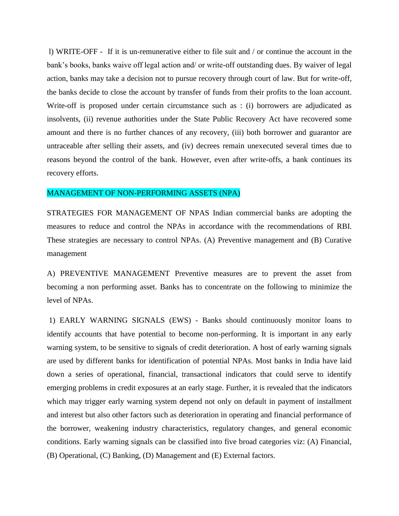l) WRITE-OFF - If it is un-remunerative either to file suit and / or continue the account in the bank's books, banks waive off legal action and/ or write-off outstanding dues. By waiver of legal action, banks may take a decision not to pursue recovery through court of law. But for write-off, the banks decide to close the account by transfer of funds from their profits to the loan account. Write-off is proposed under certain circumstance such as : (i) borrowers are adjudicated as insolvents, (ii) revenue authorities under the State Public Recovery Act have recovered some amount and there is no further chances of any recovery, (iii) both borrower and guarantor are untraceable after selling their assets, and (iv) decrees remain unexecuted several times due to reasons beyond the control of the bank. However, even after write-offs, a bank continues its recovery efforts.

#### MANAGEMENT OF NON-PERFORMING ASSETS (NPA)

STRATEGIES FOR MANAGEMENT OF NPAS Indian commercial banks are adopting the measures to reduce and control the NPAs in accordance with the recommendations of RBI. These strategies are necessary to control NPAs. (A) Preventive management and (B) Curative management

A) PREVENTIVE MANAGEMENT Preventive measures are to prevent the asset from becoming a non performing asset. Banks has to concentrate on the following to minimize the level of NPAs.

1) EARLY WARNING SIGNALS (EWS) - Banks should continuously monitor loans to identify accounts that have potential to become non-performing. It is important in any early warning system, to be sensitive to signals of credit deterioration. A host of early warning signals are used by different banks for identification of potential NPAs. Most banks in India have laid down a series of operational, financial, transactional indicators that could serve to identify emerging problems in credit exposures at an early stage. Further, it is revealed that the indicators which may trigger early warning system depend not only on default in payment of installment and interest but also other factors such as deterioration in operating and financial performance of the borrower, weakening industry characteristics, regulatory changes, and general economic conditions. Early warning signals can be classified into five broad categories viz: (A) Financial, (B) Operational, (C) Banking, (D) Management and (E) External factors.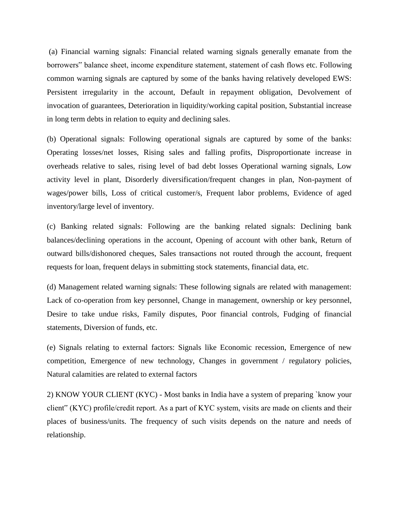(a) Financial warning signals: Financial related warning signals generally emanate from the borrowers" balance sheet, income expenditure statement, statement of cash flows etc. Following common warning signals are captured by some of the banks having relatively developed EWS: Persistent irregularity in the account, Default in repayment obligation, Devolvement of invocation of guarantees, Deterioration in liquidity/working capital position, Substantial increase in long term debts in relation to equity and declining sales.

(b) Operational signals: Following operational signals are captured by some of the banks: Operating losses/net losses, Rising sales and falling profits, Disproportionate increase in overheads relative to sales, rising level of bad debt losses Operational warning signals, Low activity level in plant, Disorderly diversification/frequent changes in plan, Non-payment of wages/power bills, Loss of critical customer/s, Frequent labor problems, Evidence of aged inventory/large level of inventory.

(c) Banking related signals: Following are the banking related signals: Declining bank balances/declining operations in the account, Opening of account with other bank, Return of outward bills/dishonored cheques, Sales transactions not routed through the account, frequent requests for loan, frequent delays in submitting stock statements, financial data, etc.

(d) Management related warning signals: These following signals are related with management: Lack of co-operation from key personnel, Change in management, ownership or key personnel, Desire to take undue risks, Family disputes, Poor financial controls, Fudging of financial statements, Diversion of funds, etc.

(e) Signals relating to external factors: Signals like Economic recession, Emergence of new competition, Emergence of new technology, Changes in government / regulatory policies, Natural calamities are related to external factors

2) KNOW YOUR CLIENT (KYC) - Most banks in India have a system of preparing `know your client" (KYC) profile/credit report. As a part of KYC system, visits are made on clients and their places of business/units. The frequency of such visits depends on the nature and needs of relationship.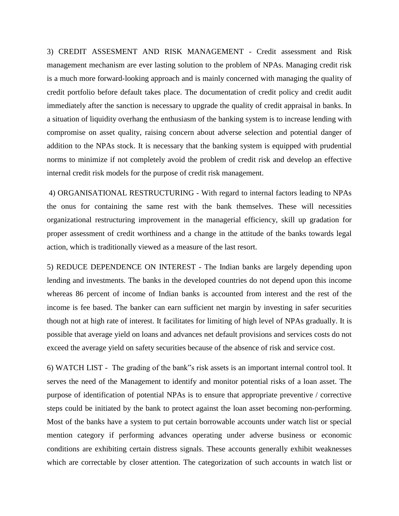3) CREDIT ASSESMENT AND RISK MANAGEMENT - Credit assessment and Risk management mechanism are ever lasting solution to the problem of NPAs. Managing credit risk is a much more forward-looking approach and is mainly concerned with managing the quality of credit portfolio before default takes place. The documentation of credit policy and credit audit immediately after the sanction is necessary to upgrade the quality of credit appraisal in banks. In a situation of liquidity overhang the enthusiasm of the banking system is to increase lending with compromise on asset quality, raising concern about adverse selection and potential danger of addition to the NPAs stock. It is necessary that the banking system is equipped with prudential norms to minimize if not completely avoid the problem of credit risk and develop an effective internal credit risk models for the purpose of credit risk management.

4) ORGANISATIONAL RESTRUCTURING - With regard to internal factors leading to NPAs the onus for containing the same rest with the bank themselves. These will necessities organizational restructuring improvement in the managerial efficiency, skill up gradation for proper assessment of credit worthiness and a change in the attitude of the banks towards legal action, which is traditionally viewed as a measure of the last resort.

5) REDUCE DEPENDENCE ON INTEREST - The Indian banks are largely depending upon lending and investments. The banks in the developed countries do not depend upon this income whereas 86 percent of income of Indian banks is accounted from interest and the rest of the income is fee based. The banker can earn sufficient net margin by investing in safer securities though not at high rate of interest. It facilitates for limiting of high level of NPAs gradually. It is possible that average yield on loans and advances net default provisions and services costs do not exceed the average yield on safety securities because of the absence of risk and service cost.

6) WATCH LIST - The grading of the bank"s risk assets is an important internal control tool. It serves the need of the Management to identify and monitor potential risks of a loan asset. The purpose of identification of potential NPAs is to ensure that appropriate preventive / corrective steps could be initiated by the bank to protect against the loan asset becoming non-performing. Most of the banks have a system to put certain borrowable accounts under watch list or special mention category if performing advances operating under adverse business or economic conditions are exhibiting certain distress signals. These accounts generally exhibit weaknesses which are correctable by closer attention. The categorization of such accounts in watch list or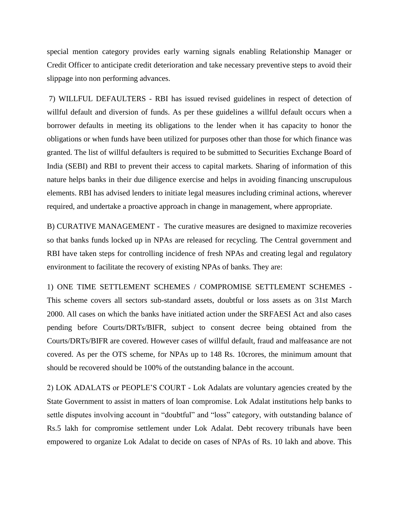special mention category provides early warning signals enabling Relationship Manager or Credit Officer to anticipate credit deterioration and take necessary preventive steps to avoid their slippage into non performing advances.

7) WILLFUL DEFAULTERS - RBI has issued revised guidelines in respect of detection of willful default and diversion of funds. As per these guidelines a willful default occurs when a borrower defaults in meeting its obligations to the lender when it has capacity to honor the obligations or when funds have been utilized for purposes other than those for which finance was granted. The list of willful defaulters is required to be submitted to Securities Exchange Board of India (SEBI) and RBI to prevent their access to capital markets. Sharing of information of this nature helps banks in their due diligence exercise and helps in avoiding financing unscrupulous elements. RBI has advised lenders to initiate legal measures including criminal actions, wherever required, and undertake a proactive approach in change in management, where appropriate.

B) CURATIVE MANAGEMENT - The curative measures are designed to maximize recoveries so that banks funds locked up in NPAs are released for recycling. The Central government and RBI have taken steps for controlling incidence of fresh NPAs and creating legal and regulatory environment to facilitate the recovery of existing NPAs of banks. They are:

1) ONE TIME SETTLEMENT SCHEMES / COMPROMISE SETTLEMENT SCHEMES - This scheme covers all sectors sub-standard assets, doubtful or loss assets as on 31st March 2000. All cases on which the banks have initiated action under the SRFAESI Act and also cases pending before Courts/DRTs/BIFR, subject to consent decree being obtained from the Courts/DRTs/BIFR are covered. However cases of willful default, fraud and malfeasance are not covered. As per the OTS scheme, for NPAs up to 148 Rs. 10crores, the minimum amount that should be recovered should be 100% of the outstanding balance in the account.

2) LOK ADALATS or PEOPLE'S COURT - Lok Adalats are voluntary agencies created by the State Government to assist in matters of loan compromise. Lok Adalat institutions help banks to settle disputes involving account in "doubtful" and "loss" category, with outstanding balance of Rs.5 lakh for compromise settlement under Lok Adalat. Debt recovery tribunals have been empowered to organize Lok Adalat to decide on cases of NPAs of Rs. 10 lakh and above. This